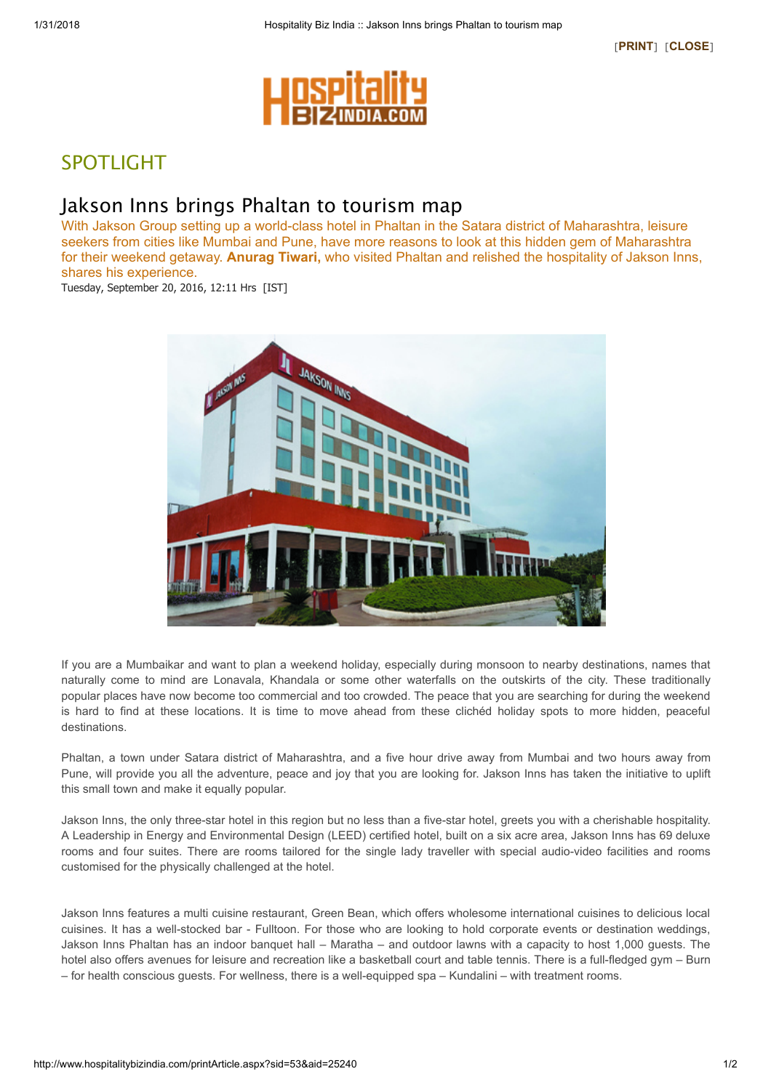

## SPOTLIGHT

## Jakson Inns brings Phaltan to tourism map

With Jakson Group setting up a world-class hotel in Phaltan in the Satara district of Maharashtra, leisure seekers from cities like Mumbai and Pune, have more reasons to look at this hidden gem of Maharashtra for their weekend getaway. **Anurag Tiwari**, who visited Phaltan and relished the hospitality of Jakson Inns, shares his experience.

Tuesday, September 20, 2016, 12:11 Hrs [IST]



If you are a Mumbaikar and want to plan a weekend holiday, especially during monsoon to nearby destinations, names that naturally come to mind are Lonavala, Khandala or some other waterfalls on the outskirts of the city. These traditionally popular places have now become too commercial and too crowded. The peace that you are searching for during the weekend is hard to find at these locations. It is time to move ahead from these clichéd holiday spots to more hidden, peaceful destinations.

Phaltan, a town under Satara district of Maharashtra, and a five hour drive away from Mumbai and two hours away from Pune, will provide you all the adventure, peace and joy that you are looking for. Jakson Inns has taken the initiative to uplift this small town and make it equally popular.

Jakson Inns, the only three-star hotel in this region but no less than a five-star hotel, greets you with a cherishable hospitality. A Leadership in Energy and Environmental Design (LEED) certified hotel, built on a six acre area, Jakson Inns has 69 deluxe rooms and four suites. There are rooms tailored for the single lady traveller with special audio-video facilities and rooms customised for the physically challenged at the hotel.

Jakson Inns features a multi cuisine restaurant, Green Bean, which offers wholesome international cuisines to delicious local cuisines. It has a well-stocked bar - Fulltoon. For those who are looking to hold corporate events or destination weddings, Jakson Inns Phaltan has an indoor banquet hall – Maratha – and outdoor lawns with a capacity to host 1,000 guests. The hotel also offers avenues for leisure and recreation like a basketball court and table tennis. There is a full-fledged gym – Burn – for health conscious guests. For wellness, there is a well-equipped spa – Kundalini – with treatment rooms.